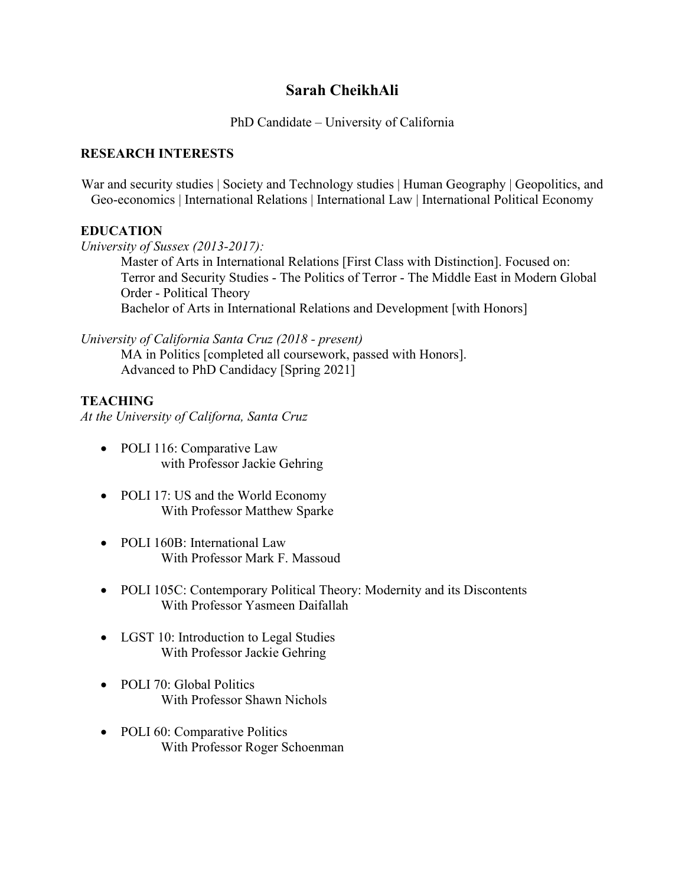# **Sarah CheikhAli**

## PhD Candidate – University of California

### **RESEARCH INTERESTS**

War and security studies | Society and Technology studies | Human Geography | Geopolitics, and Geo-economics | International Relations | International Law | International Political Economy

## **EDUCATION**

*University of Sussex (2013-2017):*

Master of Arts in International Relations [First Class with Distinction]. Focused on: Terror and Security Studies - The Politics of Terror - The Middle East in Modern Global Order - Political Theory Bachelor of Arts in International Relations and Development [with Honors]

*University of California Santa Cruz (2018 - present)*

MA in Politics [completed all coursework, passed with Honors]. Advanced to PhD Candidacy [Spring 2021]

# **TEACHING**

*At the University of Californa, Santa Cruz*

- POLI 116: Comparative Law with Professor Jackie Gehring
- POLI 17: US and the World Economy With Professor Matthew Sparke
- POLI 160B: International Law With Professor Mark F. Massoud
- POLI 105C: Contemporary Political Theory: Modernity and its Discontents With Professor Yasmeen Daifallah
- LGST 10: Introduction to Legal Studies With Professor Jackie Gehring
- POLI 70: Global Politics With Professor Shawn Nichols
- POLI 60: Comparative Politics With Professor Roger Schoenman